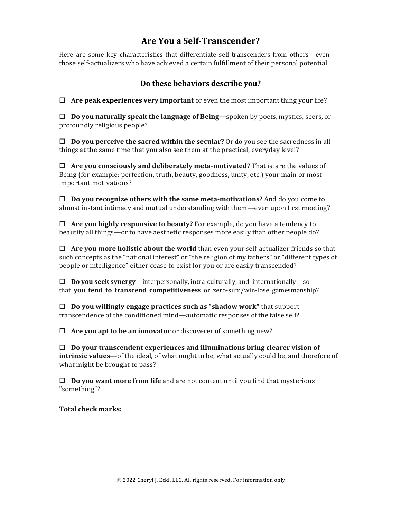## **Are You a Self-Transcender?**

Here are some key characteristics that differentiate self-transcenders from others—even those self-actualizers who have achieved a certain fulfillment of their personal potential.

## **Do these behaviors describe you?**

! **Are peak experiences very important** or even the most important thing your life?

! **Do you naturally speak the language of Being—**spoken by poets, mystics, seers, or profoundly religious people?

! **Do you perceive the sacred within the secular?** Or do you see the sacredness in all things at the same time that you also see them at the practical, everyday level?

! **Are you consciously and deliberately meta-motivated?** That is, are the values of Being (for example: perfection, truth, beauty, goodness, unity, etc.) your main or most important motivations?

 $\Box$  **Do you recognize others with the same meta-motivations**? And do you come to almost instant intimacy and mutual understanding with them—even upon first meeting?

 $\Box$  **Are you highly responsive to beauty?** For example, do you have a tendency to beautify all things—or to have aesthetic responses more easily than other people do?

 $\Box$  **Are you more holistic about the world** than even your self-actualizer friends so that such concepts as the "national interest" or "the religion of my fathers" or "different types of people or intelligence" either cease to exist for you or are easily transcended?

! **Do you seek synergy**—interpersonally, intra-culturally, and internationally—so that **you tend to transcend competitiveness** or zero-sum/win-lose gamesmanship?

 $\Box$  **Do you willingly engage practices such as "shadow work"** that support transcendence of the conditioned mind—automatic responses of the false self?

! **Are you apt to be an innovator** or discoverer of something new?

 $\Box$  Do your transcendent experiences and illuminations bring clearer vision of **intrinsic values**—of the ideal, of what ought to be, what actually could be, and therefore of what might be brought to pass?

! **Do you want more from life** and are not content until you find that mysterious "something"?

**Total check marks: \_\_\_\_\_\_\_\_\_\_\_\_\_\_\_\_\_\_\_\_**